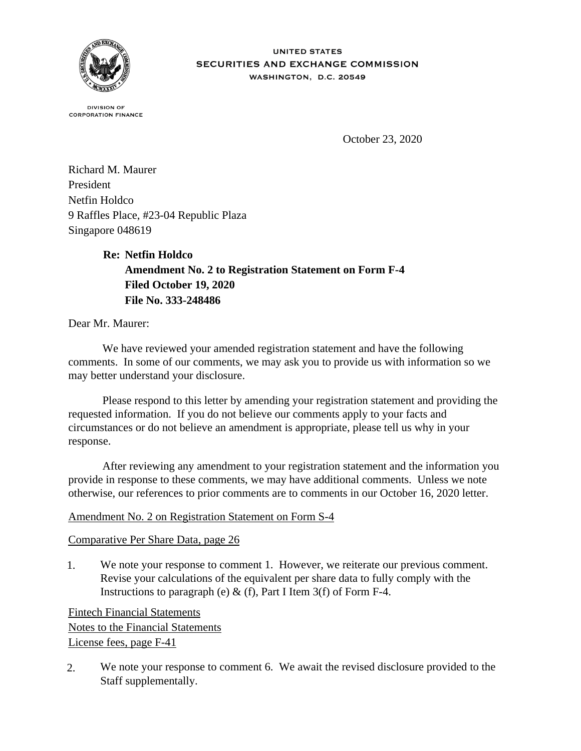

## **UNITED STATES** SECURITIES AND EXCHANGE COMMISSION WASHINGTON, D.C. 20549

**DIVISION OF CORPORATION FINANCE** 

October 23, 2020

Richard M. Maurer President Netfin Holdco 9 Raffles Place, #23-04 Republic Plaza Singapore 048619

> **Re: Netfin Holdco Amendment No. 2 to Registration Statement on Form F-4 Filed October 19, 2020 File No. 333-248486**

Dear Mr. Maurer:

 We have reviewed your amended registration statement and have the following comments. In some of our comments, we may ask you to provide us with information so we may better understand your disclosure.

 Please respond to this letter by amending your registration statement and providing the requested information. If you do not believe our comments apply to your facts and circumstances or do not believe an amendment is appropriate, please tell us why in your response.

 After reviewing any amendment to your registration statement and the information you provide in response to these comments, we may have additional comments. Unless we note otherwise, our references to prior comments are to comments in our October 16, 2020 letter.

## Amendment No. 2 on Registration Statement on Form S-4

## Comparative Per Share Data, page 26

1. We note your response to comment 1. However, we reiterate our previous comment. Revise your calculations of the equivalent per share data to fully comply with the Instructions to paragraph (e)  $\&$  (f), Part I Item 3(f) of Form F-4.

Fintech Financial Statements Notes to the Financial Statements License fees, page F-41

2. We note your response to comment 6. We await the revised disclosure provided to the Staff supplementally.